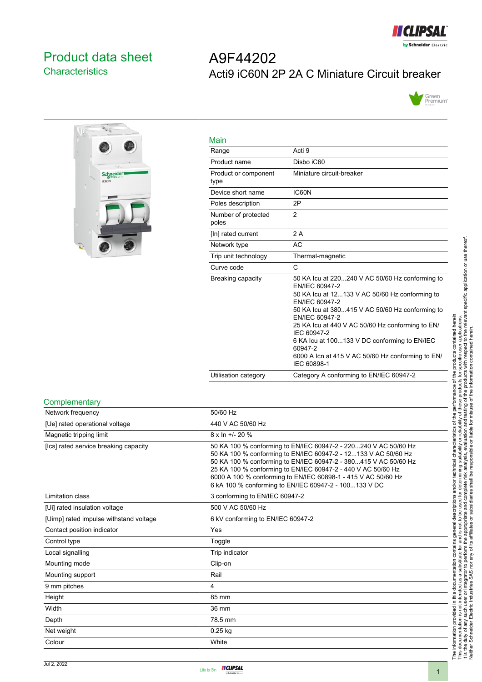

## <span id="page-0-0"></span>Product data sheet **Characteristics**

# A9F44202 Acti9 iC60N 2P 2A C Miniature Circuit breaker





| Main                         |                                                                                                                                                                                                                                                                                                                                                                                                              |
|------------------------------|--------------------------------------------------------------------------------------------------------------------------------------------------------------------------------------------------------------------------------------------------------------------------------------------------------------------------------------------------------------------------------------------------------------|
| Range                        | Acti 9                                                                                                                                                                                                                                                                                                                                                                                                       |
| Product name                 | Disho iC60                                                                                                                                                                                                                                                                                                                                                                                                   |
| Product or component<br>type | Miniature circuit-breaker                                                                                                                                                                                                                                                                                                                                                                                    |
| Device short name            | IC60N                                                                                                                                                                                                                                                                                                                                                                                                        |
| Poles description            | 2P                                                                                                                                                                                                                                                                                                                                                                                                           |
| Number of protected<br>poles | $\overline{2}$                                                                                                                                                                                                                                                                                                                                                                                               |
| [In] rated current           | 2A                                                                                                                                                                                                                                                                                                                                                                                                           |
| Network type                 | AC                                                                                                                                                                                                                                                                                                                                                                                                           |
| Trip unit technology         | Thermal-magnetic                                                                                                                                                                                                                                                                                                                                                                                             |
| Curve code                   | C                                                                                                                                                                                                                                                                                                                                                                                                            |
| Breaking capacity            | 50 KA lcu at 220240 V AC 50/60 Hz conforming to<br>EN/IEC 60947-2<br>50 KA Icu at 12133 V AC 50/60 Hz conforming to<br>EN/IEC 60947-2<br>50 KA lcu at 380415 V AC 50/60 Hz conforming to<br>EN/IEC 60947-2<br>25 KA Icu at 440 V AC 50/60 Hz conforming to EN/<br>IEC 60947-2<br>6 KA Icu at 100133 V DC conforming to EN/IEC<br>60947-2<br>6000 A Icn at 415 V AC 50/60 Hz conforming to EN/<br>IEC 60898-1 |
| Utilisation category         | Category A conforming to EN/IEC 60947-2                                                                                                                                                                                                                                                                                                                                                                      |

#### **Complementary**

| Network frequency                      | 50/60 Hz                                                                                                                                                                                                                                                                                                                                                                                       |
|----------------------------------------|------------------------------------------------------------------------------------------------------------------------------------------------------------------------------------------------------------------------------------------------------------------------------------------------------------------------------------------------------------------------------------------------|
| [Ue] rated operational voltage         | 440 V AC 50/60 Hz                                                                                                                                                                                                                                                                                                                                                                              |
| Magnetic tripping limit                | $8 \times \ln +1$ - 20 %                                                                                                                                                                                                                                                                                                                                                                       |
| [Ics] rated service breaking capacity  | 50 KA 100 % conforming to EN/IEC 60947-2 - 220240 V AC 50/60 Hz<br>50 KA 100 % conforming to EN/IEC 60947-2 - 12133 V AC 50/60 Hz<br>50 KA 100 % conforming to EN/IEC 60947-2 - 380415 V AC 50/60 Hz<br>25 KA 100 % conforming to EN/IEC 60947-2 - 440 V AC 50/60 Hz<br>6000 A 100 % conforming to EN/IEC 60898-1 - 415 V AC 50/60 Hz<br>6 kA 100 % conforming to EN/IEC 60947-2 - 100133 V DC |
| Limitation class                       | 3 conforming to EN/IEC 60947-2                                                                                                                                                                                                                                                                                                                                                                 |
| [Ui] rated insulation voltage          | 500 V AC 50/60 Hz                                                                                                                                                                                                                                                                                                                                                                              |
| [Uimp] rated impulse withstand voltage | 6 kV conforming to EN/IEC 60947-2                                                                                                                                                                                                                                                                                                                                                              |
| Contact position indicator             | Yes                                                                                                                                                                                                                                                                                                                                                                                            |
| Control type                           | Toggle                                                                                                                                                                                                                                                                                                                                                                                         |
| Local signalling                       | Trip indicator                                                                                                                                                                                                                                                                                                                                                                                 |
| Mounting mode                          | Clip-on                                                                                                                                                                                                                                                                                                                                                                                        |
| Mounting support                       | Rail                                                                                                                                                                                                                                                                                                                                                                                           |
| 9 mm pitches                           | 4                                                                                                                                                                                                                                                                                                                                                                                              |
| Height                                 | 85 mm                                                                                                                                                                                                                                                                                                                                                                                          |
| Width                                  | 36 mm                                                                                                                                                                                                                                                                                                                                                                                          |
| Depth                                  | 78.5 mm                                                                                                                                                                                                                                                                                                                                                                                        |
| Net weight                             | $0.25$ kg                                                                                                                                                                                                                                                                                                                                                                                      |
| Colour                                 | White                                                                                                                                                                                                                                                                                                                                                                                          |